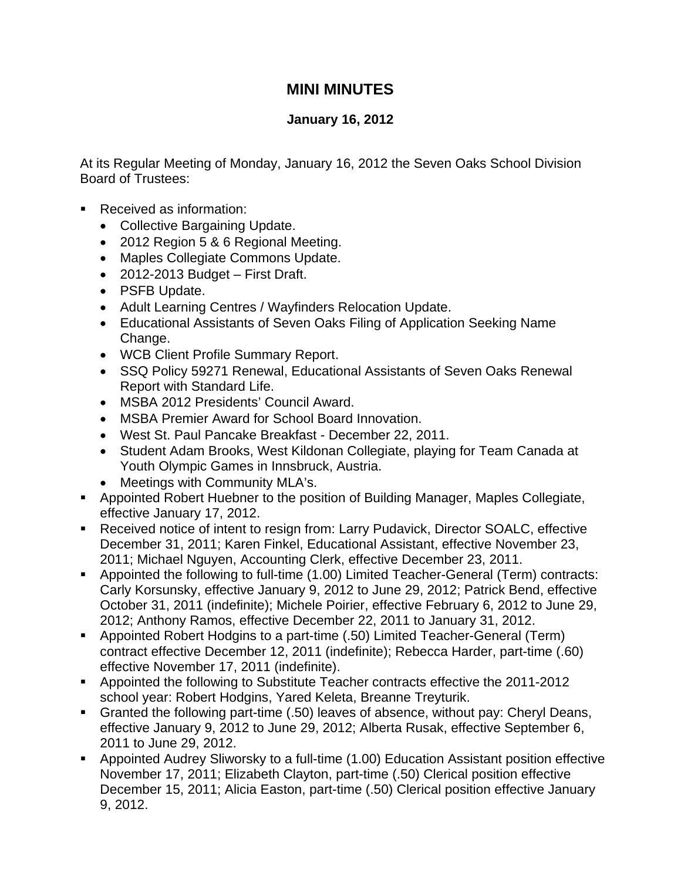## **MINI MINUTES**

## **January 16, 2012**

At its Regular Meeting of Monday, January 16, 2012 the Seven Oaks School Division Board of Trustees:

- Received as information:
	- Collective Bargaining Update.
	- 2012 Region 5 & 6 Regional Meeting.
	- Maples Collegiate Commons Update.
	- 2012-2013 Budget First Draft.
	- PSFB Update.
	- Adult Learning Centres / Wayfinders Relocation Update.
	- Educational Assistants of Seven Oaks Filing of Application Seeking Name Change.
	- WCB Client Profile Summary Report.
	- SSQ Policy 59271 Renewal, Educational Assistants of Seven Oaks Renewal Report with Standard Life.
	- MSBA 2012 Presidents' Council Award.
	- MSBA Premier Award for School Board Innovation.
	- West St. Paul Pancake Breakfast December 22, 2011.
	- Student Adam Brooks, West Kildonan Collegiate, playing for Team Canada at Youth Olympic Games in Innsbruck, Austria.
	- Meetings with Community MLA's.
- Appointed Robert Huebner to the position of Building Manager, Maples Collegiate, effective January 17, 2012.
- Received notice of intent to resign from: Larry Pudavick, Director SOALC, effective December 31, 2011; Karen Finkel, Educational Assistant, effective November 23, 2011; Michael Nguyen, Accounting Clerk, effective December 23, 2011.
- Appointed the following to full-time (1.00) Limited Teacher-General (Term) contracts: Carly Korsunsky, effective January 9, 2012 to June 29, 2012; Patrick Bend, effective October 31, 2011 (indefinite); Michele Poirier, effective February 6, 2012 to June 29, 2012; Anthony Ramos, effective December 22, 2011 to January 31, 2012.
- Appointed Robert Hodgins to a part-time (.50) Limited Teacher-General (Term) contract effective December 12, 2011 (indefinite); Rebecca Harder, part-time (.60) effective November 17, 2011 (indefinite).
- Appointed the following to Substitute Teacher contracts effective the 2011-2012 school year: Robert Hodgins, Yared Keleta, Breanne Treyturik.
- Granted the following part-time (.50) leaves of absence, without pay: Cheryl Deans, effective January 9, 2012 to June 29, 2012; Alberta Rusak, effective September 6, 2011 to June 29, 2012.
- Appointed Audrey Sliworsky to a full-time (1.00) Education Assistant position effective November 17, 2011; Elizabeth Clayton, part-time (.50) Clerical position effective December 15, 2011; Alicia Easton, part-time (.50) Clerical position effective January 9, 2012.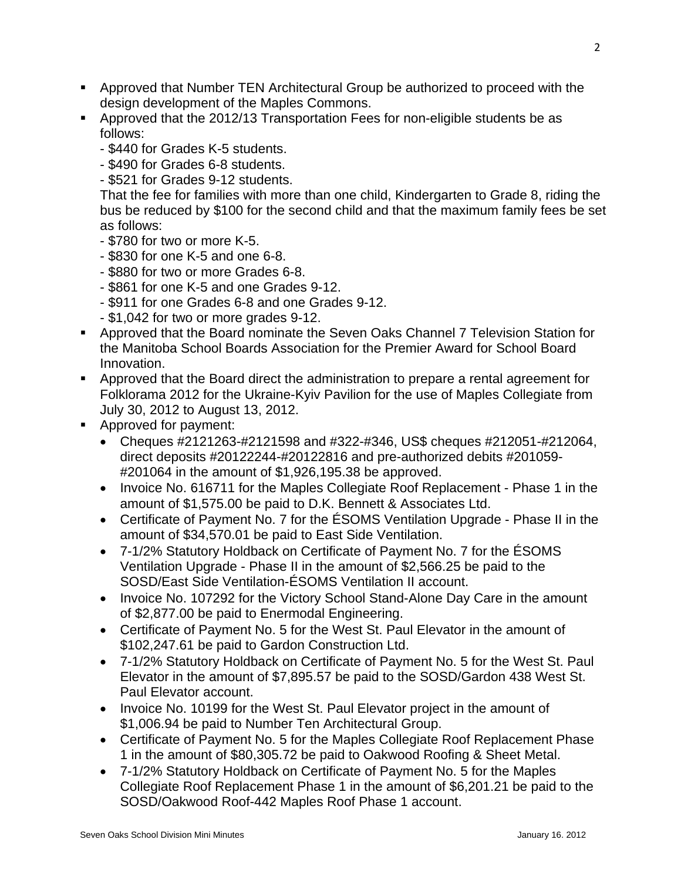- Approved that Number TEN Architectural Group be authorized to proceed with the design development of the Maples Commons.
- Approved that the 2012/13 Transportation Fees for non-eligible students be as follows:
	- \$440 for Grades K-5 students.
	- \$490 for Grades 6-8 students.
	- \$521 for Grades 9-12 students.

That the fee for families with more than one child, Kindergarten to Grade 8, riding the bus be reduced by \$100 for the second child and that the maximum family fees be set as follows:

- \$780 for two or more K-5.
- \$830 for one K-5 and one 6-8.
- \$880 for two or more Grades 6-8.
- \$861 for one K-5 and one Grades 9-12.
- \$911 for one Grades 6-8 and one Grades 9-12.
- \$1,042 for two or more grades 9-12.
- Approved that the Board nominate the Seven Oaks Channel 7 Television Station for the Manitoba School Boards Association for the Premier Award for School Board Innovation.
- Approved that the Board direct the administration to prepare a rental agreement for Folklorama 2012 for the Ukraine-Kyiv Pavilion for the use of Maples Collegiate from July 30, 2012 to August 13, 2012.
- Approved for payment:
	- Cheques #2121263-#2121598 and #322-#346, US\$ cheques #212051-#212064, direct deposits #20122244-#20122816 and pre-authorized debits #201059- #201064 in the amount of \$1,926,195.38 be approved.
	- Invoice No. 616711 for the Maples Collegiate Roof Replacement Phase 1 in the amount of \$1,575.00 be paid to D.K. Bennett & Associates Ltd.
	- Certificate of Payment No. 7 for the ÉSOMS Ventilation Upgrade Phase II in the amount of \$34,570.01 be paid to East Side Ventilation.
	- 7-1/2% Statutory Holdback on Certificate of Payment No. 7 for the ÉSOMS Ventilation Upgrade - Phase II in the amount of \$2,566.25 be paid to the SOSD/East Side Ventilation-ÉSOMS Ventilation II account.
	- Invoice No. 107292 for the Victory School Stand-Alone Day Care in the amount of \$2,877.00 be paid to Enermodal Engineering.
	- Certificate of Payment No. 5 for the West St. Paul Elevator in the amount of \$102,247.61 be paid to Gardon Construction Ltd.
	- 7-1/2% Statutory Holdback on Certificate of Payment No. 5 for the West St. Paul Elevator in the amount of \$7,895.57 be paid to the SOSD/Gardon 438 West St. Paul Elevator account.
	- Invoice No. 10199 for the West St. Paul Elevator project in the amount of \$1,006.94 be paid to Number Ten Architectural Group.
	- Certificate of Payment No. 5 for the Maples Collegiate Roof Replacement Phase 1 in the amount of \$80,305.72 be paid to Oakwood Roofing & Sheet Metal.
	- 7-1/2% Statutory Holdback on Certificate of Payment No. 5 for the Maples Collegiate Roof Replacement Phase 1 in the amount of \$6,201.21 be paid to the SOSD/Oakwood Roof-442 Maples Roof Phase 1 account.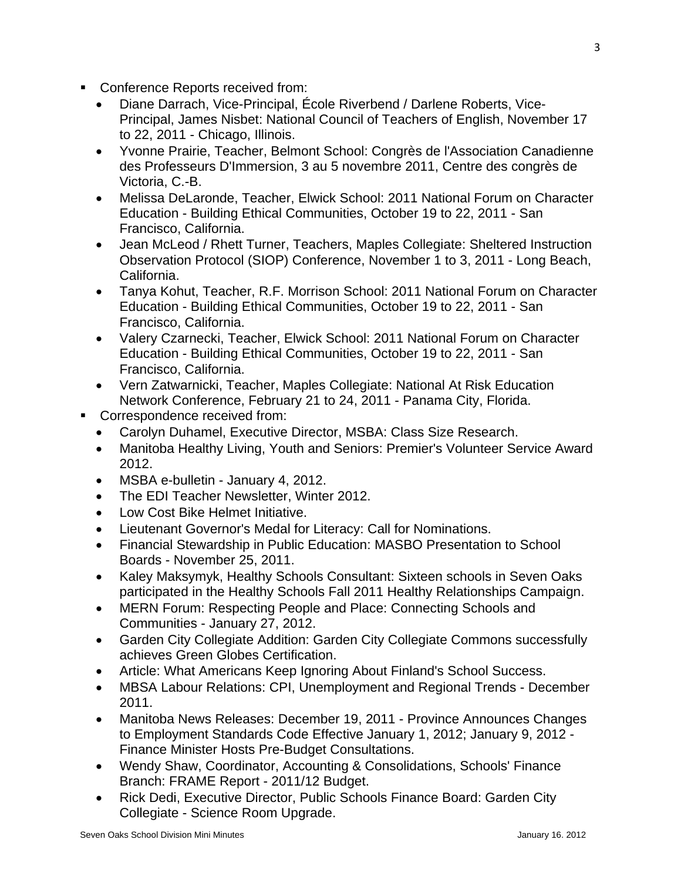- Conference Reports received from:
	- Diane Darrach, Vice-Principal, École Riverbend / Darlene Roberts, Vice-Principal, James Nisbet: National Council of Teachers of English, November 17 to 22, 2011 - Chicago, Illinois.
	- Yvonne Prairie, Teacher, Belmont School: Congrès de l'Association Canadienne des Professeurs D'Immersion, 3 au 5 novembre 2011, Centre des congrès de Victoria, C.-B.
	- Melissa DeLaronde, Teacher, Elwick School: 2011 National Forum on Character Education - Building Ethical Communities, October 19 to 22, 2011 - San Francisco, California.
	- Jean McLeod / Rhett Turner, Teachers, Maples Collegiate: Sheltered Instruction Observation Protocol (SIOP) Conference, November 1 to 3, 2011 - Long Beach, California.
	- Tanya Kohut, Teacher, R.F. Morrison School: 2011 National Forum on Character Education - Building Ethical Communities, October 19 to 22, 2011 - San Francisco, California.
	- Valery Czarnecki, Teacher, Elwick School: 2011 National Forum on Character Education - Building Ethical Communities, October 19 to 22, 2011 - San Francisco, California.
	- Vern Zatwarnicki, Teacher, Maples Collegiate: National At Risk Education Network Conference, February 21 to 24, 2011 - Panama City, Florida.
- **Correspondence received from:** 
	- Carolyn Duhamel, Executive Director, MSBA: Class Size Research.
	- Manitoba Healthy Living, Youth and Seniors: Premier's Volunteer Service Award 2012.
	- MSBA e-bulletin January 4, 2012.
	- The EDI Teacher Newsletter, Winter 2012.
	- Low Cost Bike Helmet Initiative.
	- Lieutenant Governor's Medal for Literacy: Call for Nominations.
	- Financial Stewardship in Public Education: MASBO Presentation to School Boards - November 25, 2011.
	- Kaley Maksymyk, Healthy Schools Consultant: Sixteen schools in Seven Oaks participated in the Healthy Schools Fall 2011 Healthy Relationships Campaign.
	- MERN Forum: Respecting People and Place: Connecting Schools and Communities - January 27, 2012.
	- Garden City Collegiate Addition: Garden City Collegiate Commons successfully achieves Green Globes Certification.
	- Article: What Americans Keep Ignoring About Finland's School Success.
	- MBSA Labour Relations: CPI, Unemployment and Regional Trends December 2011.
	- Manitoba News Releases: December 19, 2011 Province Announces Changes to Employment Standards Code Effective January 1, 2012; January 9, 2012 - Finance Minister Hosts Pre-Budget Consultations.
	- Wendy Shaw, Coordinator, Accounting & Consolidations, Schools' Finance Branch: FRAME Report - 2011/12 Budget.
	- Rick Dedi, Executive Director, Public Schools Finance Board: Garden City Collegiate - Science Room Upgrade.